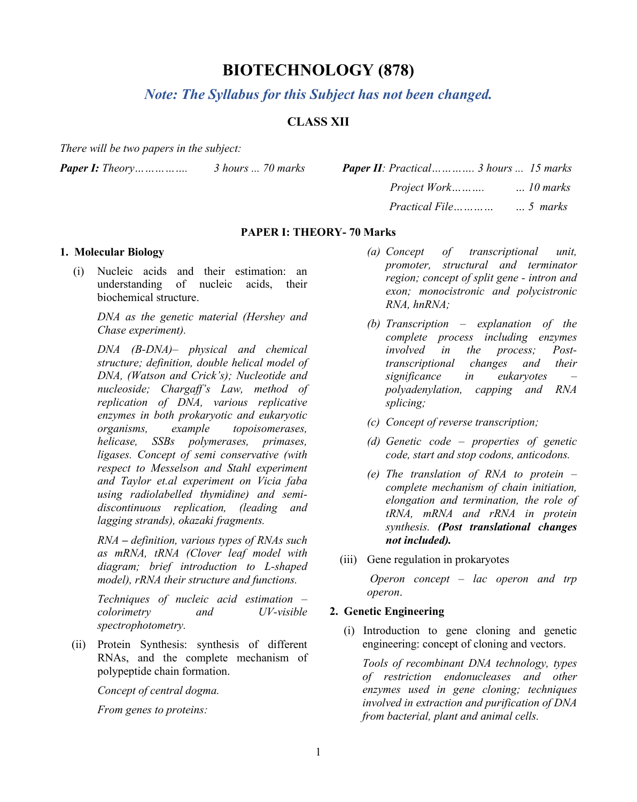# **BIOTECHNOLOGY (878)**

*Note: The Syllabus for this Subject has not been changed.*

# **CLASS XII**

*There will be two papers in the subject:*

*Paper I: Theory……………. 3 hours ... 70 marks Paper II: Practical…………. 3 hours ... 15 marks*

| $'heory$ | 3 hours  70 marks | <b>Paper II</b> : Practical 3 hours  15 marks |  |
|----------|-------------------|-----------------------------------------------|--|
|          |                   |                                               |  |
|          |                   | <i>Practical File marks</i> 5 marks           |  |

#### **PAPER I: THEORY- 70 Marks**

# **1. Molecular Biology**

(i) Nucleic acids and their estimation: an understanding of nucleic acids, their biochemical structure.

> *DNA as the genetic material (Hershey and Chase experiment).*

*DNA (B-DNA)– physical and chemical structure; definition, double helical model of DNA, (Watson and Crick's); Nucleotide and nucleoside; Chargaff's Law, method of replication of DNA, various replicative enzymes in both prokaryotic and eukaryotic organisms, example topoisomerases, helicase, SSBs polymerases, primases, ligases. Concept of semi conservative (with respect to Messelson and Stahl experiment and Taylor et.al experiment on Vicia faba using radiolabelled thymidine) and semidiscontinuous replication, (leading and lagging strands), okazaki fragments.*

*RNA – definition, various types of RNAs such as mRNA, tRNA (Clover leaf model with diagram; brief introduction to L-shaped model), rRNA their structure and functions.*

*Techniques of nucleic acid estimation – colorimetry and UV-visible spectrophotometry.*

(ii) Protein Synthesis: synthesis of different RNAs, and the complete mechanism of polypeptide chain formation.

*Concept of central dogma.* 

*From genes to proteins:* 

- *(a) Concept of transcriptional unit, promoter, structural and terminator region; concept of split gene - intron and exon; monocistronic and polycistronic RNA, hnRNA;*
- *(b) Transcription – explanation of the complete process including enzymes involved in the process; Posttranscriptional changes and their significance in eukaryotes – polyadenylation, capping and RNA splicing;*
- *(c) Concept of reverse transcription;*
- *(d) Genetic code – properties of genetic code, start and stop codons, anticodons.*
- *(e) The translation of RNA to protein – complete mechanism of chain initiation, elongation and termination, the role of tRNA, mRNA and rRNA in protein synthesis. (Post translational changes not included).*
- (iii) Gene regulation in prokaryotes

*Operon concept – lac operon and trp operon*.

# **2. Genetic Engineering**

(i) Introduction to gene cloning and genetic engineering: concept of cloning and vectors.

*Tools of recombinant DNA technology, types of restriction endonucleases and other enzymes used in gene cloning; techniques involved in extraction and purification of DNA from bacterial, plant and animal cells.*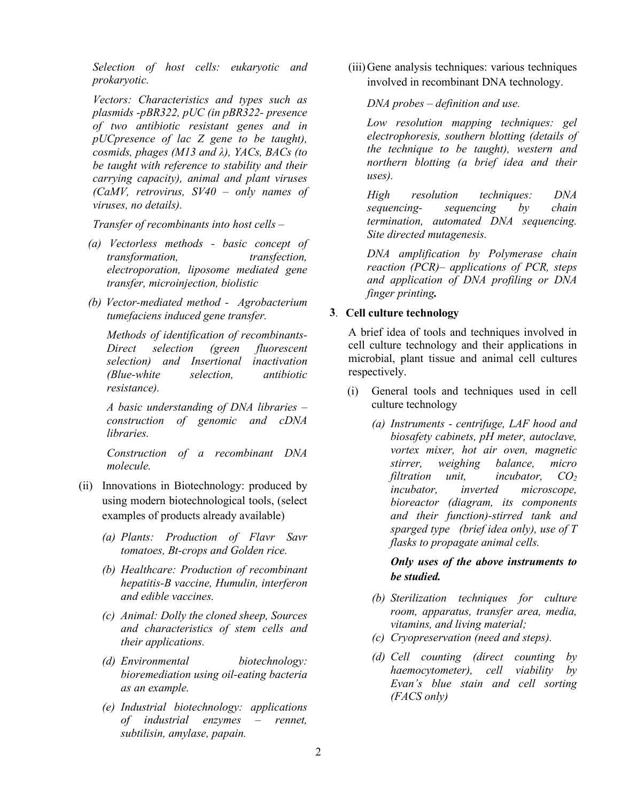*Selection of host cells: eukaryotic and prokaryotic.*

*Vectors: Characteristics and types such as plasmids -pBR322, pUC (in pBR322- presence of two antibiotic resistant genes and in pUCpresence of lac Z gene to be taught), cosmids, phages (M13 and λ), YACs, BACs (to be taught with reference to stability and their carrying capacity), animal and plant viruses (CaMV, retrovirus, SV40 – only names of viruses, no details).*

*Transfer of recombinants into host cells –*

- *(a) Vectorless methods - basic concept of transformation, transfection, electroporation, liposome mediated gene transfer, microinjection, biolistic*
- *(b) Vector-mediated method Agrobacterium tumefaciens induced gene transfer.*

*Methods of identification of recombinants-Direct selection (green fluorescent selection) and Insertional inactivation (Blue-white selection, antibiotic resistance).* 

*A basic understanding of DNA libraries – construction of genomic and cDNA libraries.*

*Construction of a recombinant DNA molecule.*

- (ii) Innovations in Biotechnology: produced by using modern biotechnological tools, (select examples of products already available)
	- *(a) Plants: Production of Flavr Savr tomatoes, Bt-crops and Golden rice.*
	- *(b) Healthcare: Production of recombinant hepatitis-B vaccine, Humulin, interferon and edible vaccines.*
	- *(c) Animal: Dolly the cloned sheep, Sources and characteristics of stem cells and their applications.*
	- *(d) Environmental biotechnology: bioremediation using oil-eating bacteria as an example.*
	- *(e) Industrial biotechnology: applications of industrial enzymes – rennet, subtilisin, amylase, papain.*

(iii)Gene analysis techniques: various techniques involved in recombinant DNA technology.

*DNA probes – definition and use.*

*Low resolution mapping techniques: gel electrophoresis, southern blotting (details of the technique to be taught), western and northern blotting (a brief idea and their uses).*

*High resolution techniques: DNA sequencing- sequencing by chain termination, automated DNA sequencing. Site directed mutagenesis.*

*DNA amplification by Polymerase chain reaction (PCR)– applications of PCR, steps and application of DNA profiling or DNA finger printing.*

# **3**. **Cell culture technology**

A brief idea of tools and techniques involved in cell culture technology and their applications in microbial, plant tissue and animal cell cultures respectively.

- (i) General tools and techniques used in cell culture technology
	- *(a) Instruments - centrifuge, LAF hood and biosafety cabinets, pH meter, autoclave, vortex mixer, hot air oven, magnetic stirrer, weighing balance, micro filtration unit, incubator, CO<sub>2</sub> incubator, inverted microscope, bioreactor (diagram, its components and their function)-stirred tank and sparged type (brief idea only), use of T flasks to propagate animal cells.*

*Only uses of the above instruments to be studied.*

- *(b) Sterilization techniques for culture room, apparatus, transfer area, media, vitamins, and living material;*
- *(c) Cryopreservation (need and steps).*
- *(d) Cell counting (direct counting by haemocytometer), cell viability by Evan's blue stain and cell sorting (FACS only)*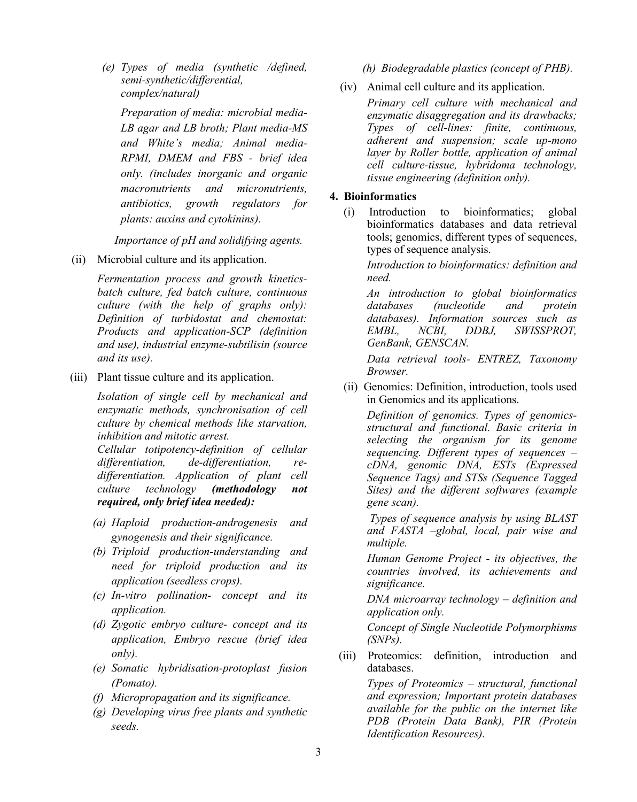*(e) Types of media (synthetic /defined, semi-synthetic/differential, complex/natural)*

*Preparation of media: microbial media-LB agar and LB broth; Plant media-MS and White's media; Animal media-RPMI, DMEM and FBS - brief idea only. (includes inorganic and organic macronutrients and micronutrients, antibiotics, growth regulators for plants: auxins and cytokinins).*

 *Importance of pH and solidifying agents.*

(ii) Microbial culture and its application.

*Fermentation process and growth kineticsbatch culture, fed batch culture, continuous culture (with the help of graphs only): Definition of turbidostat and chemostat: Products and application-SCP (definition and use), industrial enzyme-subtilisin (source and its use).*

(iii) Plant tissue culture and its application.

*Isolation of single cell by mechanical and enzymatic methods, synchronisation of cell culture by chemical methods like starvation, inhibition and mitotic arrest.*

*Cellular totipotency-definition of cellular differentiation, de-differentiation, redifferentiation. Application of plant cell culture technology (methodology not required, only brief idea needed):* 

- *(a) Haploid production-androgenesis and gynogenesis and their significance.*
- *(b) Triploid production-understanding and need for triploid production and its application (seedless crops).*
- *(c) In-vitro pollination- concept and its application.*
- *(d) Zygotic embryo culture- concept and its application, Embryo rescue (brief idea only).*
- *(e) Somatic hybridisation-protoplast fusion (Pomato).*
- *(f) Micropropagation and its significance.*
- *(g) Developing virus free plants and synthetic seeds.*

*(h) Biodegradable plastics (concept of PHB).*

(iv) Animal cell culture and its application.

*Primary cell culture with mechanical and enzymatic disaggregation and its drawbacks; Types of cell-lines: finite, continuous, adherent and suspension; scale up-mono layer by Roller bottle, application of animal cell culture-tissue, hybridoma technology, tissue engineering (definition only).*

#### **4. Bioinformatics**

(i) Introduction to bioinformatics; global bioinformatics databases and data retrieval tools; genomics, different types of sequences, types of sequence analysis.

*Introduction to bioinformatics: definition and need.*

*An introduction to global bioinformatics databases (nucleotide and databases). Information sources such as EMBL, NCBI, DDBJ, SWISSPROT, GenBank, GENSCAN.*

*Data retrieval tools- ENTREZ, Taxonomy Browser.*

(ii) Genomics: Definition, introduction, tools used in Genomics and its applications.

*Definition of genomics. Types of genomicsstructural and functional. Basic criteria in selecting the organism for its genome sequencing. Different types of sequences – cDNA, genomic DNA, ESTs (Expressed Sequence Tags) and STSs (Sequence Tagged Sites) and the different softwares (example gene scan).*

*Types of sequence analysis by using BLAST and FASTA –global, local, pair wise and multiple.* 

*Human Genome Project - its objectives, the countries involved, its achievements and significance.*

*DNA microarray technology – definition and application only.*

*Concept of Single Nucleotide Polymorphisms (SNPs).*

(iii) Proteomics: definition, introduction and databases.

> *Types of Proteomics – structural, functional and expression; Important protein databases available for the public on the internet like PDB (Protein Data Bank), PIR (Protein Identification Resources).*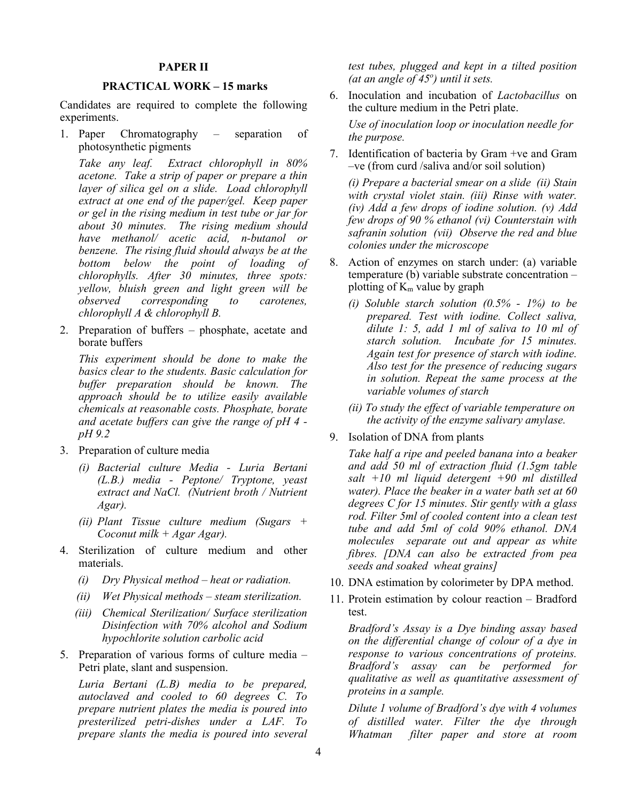#### **PAPER II**

#### **PRACTICAL WORK – 15 marks**

Candidates are required to complete the following experiments.

1. Paper Chromatography – separation of photosynthetic pigments

*Take any leaf. Extract chlorophyll in 80% acetone. Take a strip of paper or prepare a thin layer of silica gel on a slide. Load chlorophyll extract at one end of the paper/gel. Keep paper or gel in the rising medium in test tube or jar for about 30 minutes. The rising medium should have methanol/ acetic acid, n-butanol or benzene. The rising fluid should always be at the bottom below the point of loading of chlorophylls. After 30 minutes, three spots: yellow, bluish green and light green will be*   $corresponding$ *chlorophyll A & chlorophyll B.*

2. Preparation of buffers – phosphate, acetate and borate buffers

*This experiment should be done to make the basics clear to the students. Basic calculation for buffer preparation should be known. The approach should be to utilize easily available chemicals at reasonable costs. Phosphate, borate and acetate buffers can give the range of pH 4 pH 9.2*

- 3. Preparation of culture media
	- *(i) Bacterial culture Media - Luria Bertani (L.B.) media - Peptone/ Tryptone, yeast extract and NaCl. (Nutrient broth / Nutrient Agar).*
	- *(ii) Plant Tissue culture medium (Sugars + Coconut milk + Agar Agar).*
- 4. Sterilization of culture medium and other materials.
	- *(i) Dry Physical method – heat or radiation.*
	- *(ii) Wet Physical methods – steam sterilization.*
	- *(iii) Chemical Sterilization/ Surface sterilization Disinfection with 70% alcohol and Sodium hypochlorite solution carbolic acid*
- 5. Preparation of various forms of culture media Petri plate, slant and suspension.

*Luria Bertani (L.B) media to be prepared, autoclaved and cooled to 60 degrees C. To prepare nutrient plates the media is poured into presterilized petri-dishes under a LAF. To prepare slants the media is poured into several*  *test tubes, plugged and kept in a tilted position (at an angle of 45<sup>o</sup> ) until it sets.*

6. Inoculation and incubation of *Lactobacillus* on the culture medium in the Petri plate.

*Use of inoculation loop or inoculation needle for the purpose.* 

7. Identification of bacteria by Gram +ve and Gram –ve (from curd /saliva and/or soil solution)

*(i) Prepare a bacterial smear on a slide (ii) Stain with crystal violet stain. (iii) Rinse with water. (iv) Add a few drops of iodine solution. (v) Add few drops of 90 % ethanol (vi) Counterstain with safranin solution (vii) Observe the red and blue colonies under the microscope*

- 8. Action of enzymes on starch under: (a) variable temperature (b) variable substrate concentration – plotting of  $K_m$  value by graph
	- *(i) Soluble starch solution (0.5% - 1%) to be prepared. Test with iodine. Collect saliva, dilute 1: 5, add 1 ml of saliva to 10 ml of starch solution. Incubate for 15 minutes. Again test for presence of starch with iodine. Also test for the presence of reducing sugars in solution. Repeat the same process at the variable volumes of starch*
	- *(ii) To study the effect of variable temperature on the activity of the enzyme salivary amylase.*
- 9. Isolation of DNA from plants

*Take half a ripe and peeled banana into a beaker and add 50 ml of extraction fluid (1.5gm table salt +10 ml liquid detergent +90 ml distilled water). Place the beaker in a water bath set at 60 degrees C for 15 minutes. Stir gently with a glass rod. Filter 5ml of cooled content into a clean test tube and add 5ml of cold 90% ethanol. DNA molecules separate out and appear as white fibres. [DNA can also be extracted from pea seeds and soaked wheat grains]*

- 10. DNA estimation by colorimeter by DPA method.
- 11. Protein estimation by colour reaction Bradford test.

*Bradford's Assay is a Dye binding assay based on the differential change of colour of a dye in response to various concentrations of proteins. Bradford's assay can be performed for qualitative as well as quantitative assessment of proteins in a sample.* 

*Dilute 1 volume of Bradford's dye with 4 volumes of distilled water. Filter the dye through Whatman filter paper and store at room*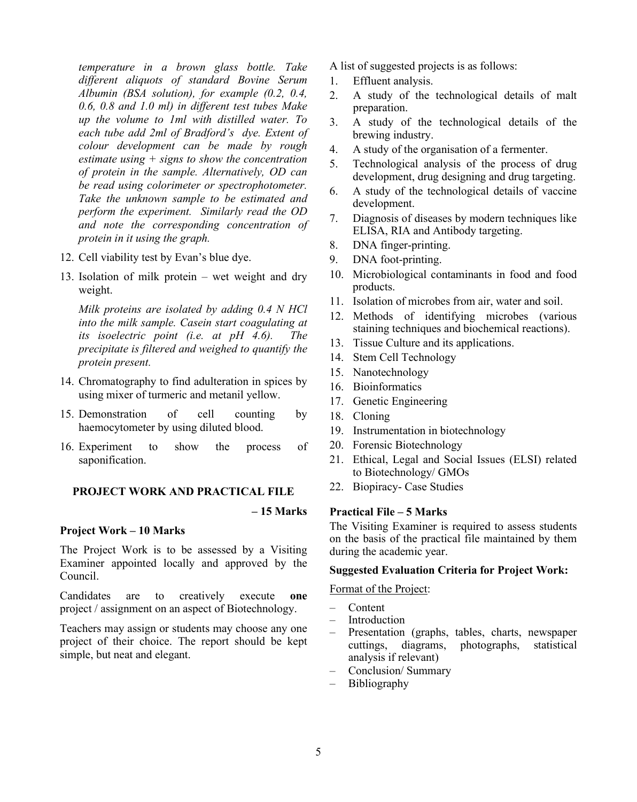*temperature in a brown glass bottle. Take different aliquots of standard Bovine Serum Albumin (BSA solution), for example (0.2, 0.4, 0.6, 0.8 and 1.0 ml) in different test tubes Make up the volume to 1ml with distilled water. To each tube add 2ml of Bradford's dye. Extent of colour development can be made by rough estimate using + signs to show the concentration of protein in the sample. Alternatively, OD can be read using colorimeter or spectrophotometer. Take the unknown sample to be estimated and perform the experiment. Similarly read the OD and note the corresponding concentration of protein in it using the graph.*

- 12. Cell viability test by Evan's blue dye.
- 13. Isolation of milk protein wet weight and dry weight.

*Milk proteins are isolated by adding 0.4 N HCl into the milk sample. Casein start coagulating at its isoelectric point (i.e. at pH 4.6). The precipitate is filtered and weighed to quantify the protein present.*

- 14. Chromatography to find adulteration in spices by using mixer of turmeric and metanil yellow.
- 15. Demonstration of cell counting by haemocytometer by using diluted blood.
- 16. Experiment to show the process of saponification.

# **PROJECT WORK AND PRACTICAL FILE**

#### **– 15 Marks**

# **Project Work – 10 Marks**

The Project Work is to be assessed by a Visiting Examiner appointed locally and approved by the Council.

Candidates are to creatively execute **one** project / assignment on an aspect of Biotechnology.

Teachers may assign or students may choose any one project of their choice. The report should be kept simple, but neat and elegant.

A list of suggested projects is as follows:

- 1. Effluent analysis.
- 2. A study of the technological details of malt preparation.
- 3. A study of the technological details of the brewing industry.
- 4. A study of the organisation of a fermenter.
- 5. Technological analysis of the process of drug development, drug designing and drug targeting.
- 6. A study of the technological details of vaccine development.
- 7. Diagnosis of diseases by modern techniques like ELISA, RIA and Antibody targeting.
- 8. DNA finger-printing.
- 9. DNA foot-printing.
- 10. Microbiological contaminants in food and food products.
- 11. Isolation of microbes from air, water and soil.
- 12. Methods of identifying microbes (various staining techniques and biochemical reactions).
- 13. Tissue Culture and its applications.
- 14. Stem Cell Technology
- 15. Nanotechnology
- 16. Bioinformatics
- 17. Genetic Engineering
- 18. Cloning
- 19. Instrumentation in biotechnology
- 20. Forensic Biotechnology
- 21. Ethical, Legal and Social Issues (ELSI) related to Biotechnology/ GMOs
- 22. Biopiracy- Case Studies

# **Practical File – 5 Marks**

The Visiting Examiner is required to assess students on the basis of the practical file maintained by them during the academic year.

#### **Suggested Evaluation Criteria for Project Work:**

Format of the Project:

- Content
- **Introduction**
- Presentation (graphs, tables, charts, newspaper cuttings, diagrams, photographs, statistical analysis if relevant)
- Conclusion/ Summary
- Bibliography